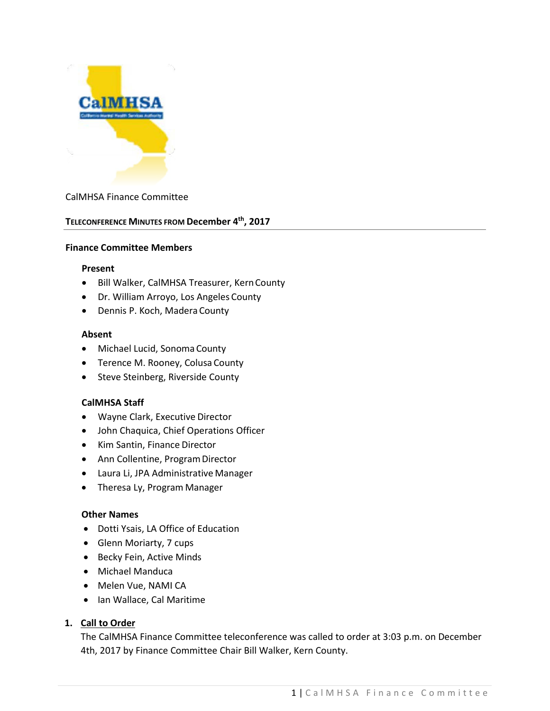

### CalMHSA Finance Committee

### **TELECONFERENCE MINUTES FROM December 4th, 2017**

#### **Finance Committee Members**

#### **Present**

- Bill Walker, CalMHSA Treasurer, KernCounty
- Dr. William Arroyo, Los Angeles County
- Dennis P. Koch, Madera County

#### **Absent**

- Michael Lucid, Sonoma County
- Terence M. Rooney, Colusa County
- Steve Steinberg, Riverside County

### **CalMHSA Staff**

- Wayne Clark, Executive Director
- John Chaquica, Chief Operations Officer
- Kim Santin, Finance Director
- Ann Collentine, Program Director
- Laura Li, JPA Administrative Manager
- Theresa Ly, Program Manager

### **Other Names**

- Dotti Ysais, LA Office of Education
- Glenn Moriarty, 7 cups
- Becky Fein, Active Minds
- Michael Manduca
- Melen Vue, NAMI CA
- Ian Wallace, Cal Maritime

### **1. Call to Order**

The CalMHSA Finance Committee teleconference was called to order at 3:03 p.m. on December 4th, 2017 by Finance Committee Chair Bill Walker, Kern County.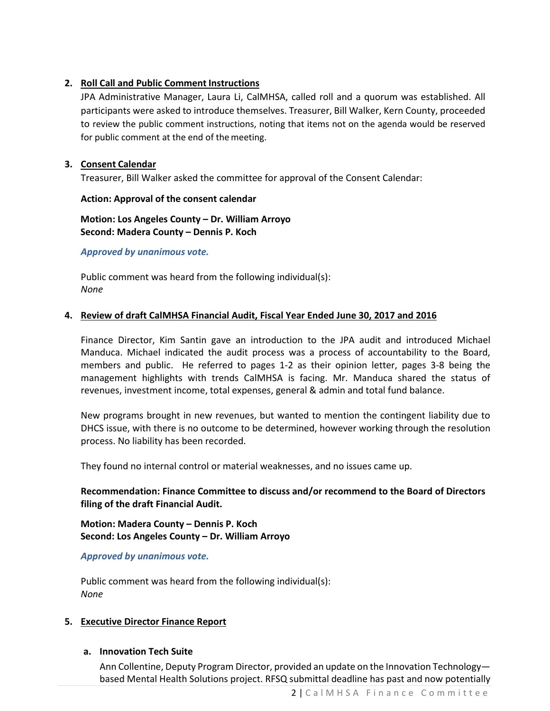## **2. Roll Call and Public Comment Instructions**

JPA Administrative Manager, Laura Li, CalMHSA, called roll and a quorum was established. All participants were asked to introduce themselves. Treasurer, Bill Walker, Kern County, proceeded to review the public comment instructions, noting that items not on the agenda would be reserved for public comment at the end of the meeting.

## **3. Consent Calendar**

Treasurer, Bill Walker asked the committee for approval of the Consent Calendar:

### **Action: Approval of the consent calendar**

**Motion: Los Angeles County – Dr. William Arroyo Second: Madera County – Dennis P. Koch**

*Approved by unanimous vote.*

Public comment was heard from the following individual(s): *None*

## **4. Review of draft CalMHSA Financial Audit, Fiscal Year Ended June 30, 2017 and 2016**

Finance Director, Kim Santin gave an introduction to the JPA audit and introduced Michael Manduca. Michael indicated the audit process was a process of accountability to the Board, members and public. He referred to pages 1-2 as their opinion letter, pages 3-8 being the management highlights with trends CalMHSA is facing. Mr. Manduca shared the status of revenues, investment income, total expenses, general & admin and total fund balance.

New programs brought in new revenues, but wanted to mention the contingent liability due to DHCS issue, with there is no outcome to be determined, however working through the resolution process. No liability has been recorded.

They found no internal control or material weaknesses, and no issues came up.

# **Recommendation: Finance Committee to discuss and/or recommend to the Board of Directors filing of the draft Financial Audit.**

**Motion: Madera County – Dennis P. Koch Second: Los Angeles County – Dr. William Arroyo**

*Approved by unanimous vote.*

Public comment was heard from the following individual(s): *None*

## **5. Executive Director Finance Report**

## **a. Innovation Tech Suite**

Ann Collentine, Deputy Program Director, provided an update on the Innovation Technology based Mental Health Solutions project. RFSQ submittal deadline has past and now potentially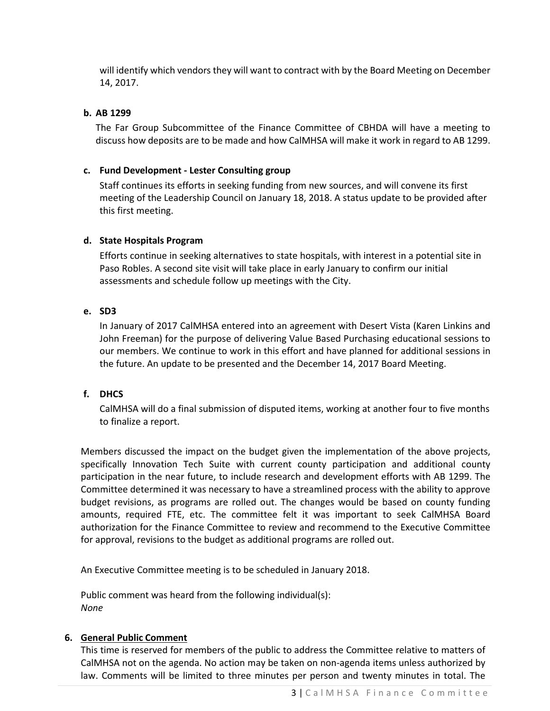will identify which vendors they will want to contract with by the Board Meeting on December 14, 2017.

## **b. AB 1299**

The Far Group Subcommittee of the Finance Committee of CBHDA will have a meeting to discuss how deposits are to be made and how CalMHSA will make it work in regard to AB 1299.

## **c. Fund Development - Lester Consulting group**

Staff continues its efforts in seeking funding from new sources, and will convene its first meeting of the Leadership Council on January 18, 2018. A status update to be provided after this first meeting.

## **d. State Hospitals Program**

Efforts continue in seeking alternatives to state hospitals, with interest in a potential site in Paso Robles. A second site visit will take place in early January to confirm our initial assessments and schedule follow up meetings with the City.

## **e. SD3**

In January of 2017 CalMHSA entered into an agreement with Desert Vista (Karen Linkins and John Freeman) for the purpose of delivering Value Based Purchasing educational sessions to our members. We continue to work in this effort and have planned for additional sessions in the future. An update to be presented and the December 14, 2017 Board Meeting.

## **f. DHCS**

CalMHSA will do a final submission of disputed items, working at another four to five months to finalize a report.

Members discussed the impact on the budget given the implementation of the above projects, specifically Innovation Tech Suite with current county participation and additional county participation in the near future, to include research and development efforts with AB 1299. The Committee determined it was necessary to have a streamlined process with the ability to approve budget revisions, as programs are rolled out. The changes would be based on county funding amounts, required FTE, etc. The committee felt it was important to seek CalMHSA Board authorization for the Finance Committee to review and recommend to the Executive Committee for approval, revisions to the budget as additional programs are rolled out.

An Executive Committee meeting is to be scheduled in January 2018.

Public comment was heard from the following individual(s): *None*

## **6. General Public Comment**

This time is reserved for members of the public to address the Committee relative to matters of CalMHSA not on the agenda. No action may be taken on non-agenda items unless authorized by law. Comments will be limited to three minutes per person and twenty minutes in total. The